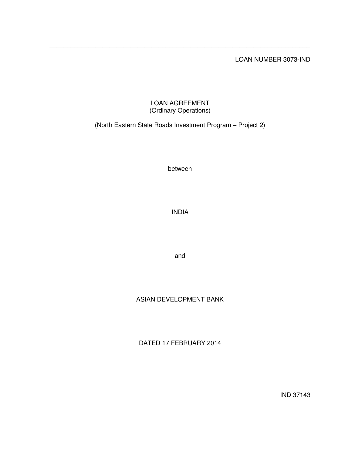LOAN NUMBER 3073-IND

## LOAN AGREEMENT (Ordinary Operations)

\_\_\_\_\_\_\_\_\_\_\_\_\_\_\_\_\_\_\_\_\_\_\_\_\_\_\_\_\_\_\_\_\_\_\_\_\_\_\_\_\_\_\_\_\_\_\_\_\_\_\_\_\_\_\_\_\_\_\_\_\_\_\_\_\_\_\_\_\_\_\_\_\_\_

(North Eastern State Roads Investment Program – Project 2)

between

INDIA

and

# ASIAN DEVELOPMENT BANK

DATED 17 FEBRUARY 2014

IND 37143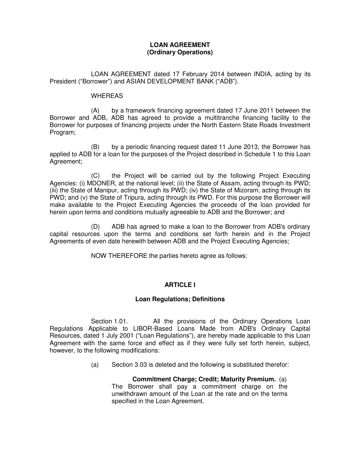## **LOAN AGREEMENT (Ordinary Operations)**

 LOAN AGREEMENT dated 17 February 2014 between INDIA, acting by its President ("Borrower") and ASIAN DEVELOPMENT BANK ("ADB").

#### WHEREAS

 (A) by a framework financing agreement dated 17 June 2011 between the Borrower and ADB, ADB has agreed to provide a multitranche financing facility to the Borrower for purposes of financing projects under the North Eastern State Roads Investment Program;

(B) by a periodic financing request dated 11 June 2013, the Borrower has applied to ADB for a loan for the purposes of the Project described in Schedule 1 to this Loan Agreement;

(C) the Project will be carried out by the following Project Executing Agencies: (i) MDONER, at the national level; (ii) the State of Assam, acting through its PWD; (iii) the State of Manipur, acting through its PWD; (iv) the State of Mizoram, acting through its PWD; and (v) the State of Tripura, acting through its PWD. For this purpose the Borrower will make available to the Project Executing Agencies the proceeds of the loan provided for herein upon terms and conditions mutually agreeable to ADB and the Borrower; and

 (D) ADB has agreed to make a loan to the Borrower from ADB's ordinary capital resources upon the terms and conditions set forth herein and in the Project Agreements of even date herewith between ADB and the Project Executing Agencies;

NOW THEREFORE the parties hereto agree as follows:

## **ARTICLE I**

## **Loan Regulations; Definitions**

 Section 1.01. All the provisions of the Ordinary Operations Loan Regulations Applicable to LIBOR-Based Loans Made from ADB's Ordinary Capital Resources, dated 1 July 2001 ("Loan Regulations"), are hereby made applicable to this Loan Agreement with the same force and effect as if they were fully set forth herein, subject, however, to the following modifications:

(a) Section 3.03 is deleted and the following is substituted therefor:

**Commitment Charge; Credit; Maturity Premium.** (a) The Borrower shall pay a commitment charge on the unwithdrawn amount of the Loan at the rate and on the terms specified in the Loan Agreement.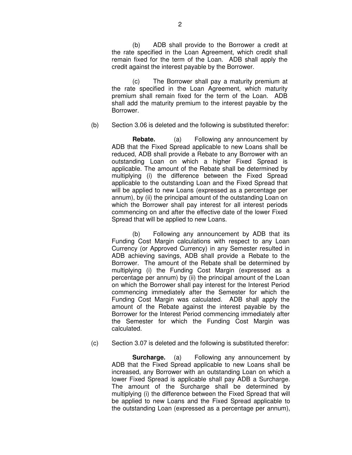(b) ADB shall provide to the Borrower a credit at the rate specified in the Loan Agreement, which credit shall remain fixed for the term of the Loan. ADB shall apply the credit against the interest payable by the Borrower.

(c) The Borrower shall pay a maturity premium at the rate specified in the Loan Agreement, which maturity premium shall remain fixed for the term of the Loan. ADB shall add the maturity premium to the interest payable by the Borrower.

(b) Section 3.06 is deleted and the following is substituted therefor:

 **Rebate.** (a) Following any announcement by ADB that the Fixed Spread applicable to new Loans shall be reduced, ADB shall provide a Rebate to any Borrower with an outstanding Loan on which a higher Fixed Spread is applicable. The amount of the Rebate shall be determined by multiplying (i) the difference between the Fixed Spread applicable to the outstanding Loan and the Fixed Spread that will be applied to new Loans (expressed as a percentage per annum), by (ii) the principal amount of the outstanding Loan on which the Borrower shall pay interest for all interest periods commencing on and after the effective date of the lower Fixed Spread that will be applied to new Loans.

(b) Following any announcement by ADB that its Funding Cost Margin calculations with respect to any Loan Currency (or Approved Currency) in any Semester resulted in ADB achieving savings, ADB shall provide a Rebate to the Borrower. The amount of the Rebate shall be determined by multiplying (i) the Funding Cost Margin (expressed as a percentage per annum) by (ii) the principal amount of the Loan on which the Borrower shall pay interest for the Interest Period commencing immediately after the Semester for which the Funding Cost Margin was calculated. ADB shall apply the amount of the Rebate against the interest payable by the Borrower for the Interest Period commencing immediately after the Semester for which the Funding Cost Margin was calculated.

(c) Section 3.07 is deleted and the following is substituted therefor:

**Surcharge.** (a) Following any announcement by ADB that the Fixed Spread applicable to new Loans shall be increased, any Borrower with an outstanding Loan on which a lower Fixed Spread is applicable shall pay ADB a Surcharge. The amount of the Surcharge shall be determined by multiplying (i) the difference between the Fixed Spread that will be applied to new Loans and the Fixed Spread applicable to the outstanding Loan (expressed as a percentage per annum),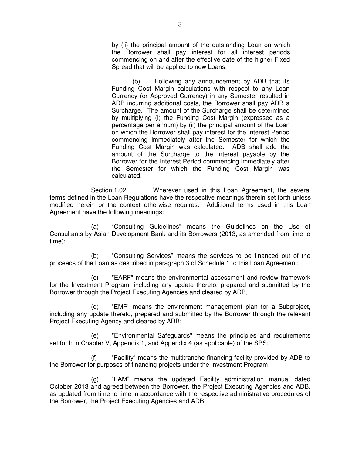by (ii) the principal amount of the outstanding Loan on which the Borrower shall pay interest for all interest periods commencing on and after the effective date of the higher Fixed Spread that will be applied to new Loans.

(b) Following any announcement by ADB that its Funding Cost Margin calculations with respect to any Loan Currency (or Approved Currency) in any Semester resulted in ADB incurring additional costs, the Borrower shall pay ADB a Surcharge. The amount of the Surcharge shall be determined by multiplying (i) the Funding Cost Margin (expressed as a percentage per annum) by (ii) the principal amount of the Loan on which the Borrower shall pay interest for the Interest Period commencing immediately after the Semester for which the Funding Cost Margin was calculated. ADB shall add the amount of the Surcharge to the interest payable by the Borrower for the Interest Period commencing immediately after the Semester for which the Funding Cost Margin was calculated.

 Section 1.02. Wherever used in this Loan Agreement, the several terms defined in the Loan Regulations have the respective meanings therein set forth unless modified herein or the context otherwise requires. Additional terms used in this Loan Agreement have the following meanings:

(a) "Consulting Guidelines" means the Guidelines on the Use of Consultants by Asian Development Bank and its Borrowers (2013, as amended from time to time);

(b) "Consulting Services" means the services to be financed out of the proceeds of the Loan as described in paragraph 3 of Schedule 1 to this Loan Agreement;

(c) "EARF" means the environmental assessment and review framework for the Investment Program, including any update thereto, prepared and submitted by the Borrower through the Project Executing Agencies and cleared by ADB;

(d) "EMP" means the environment management plan for a Subproject, including any update thereto, prepared and submitted by the Borrower through the relevant Project Executing Agency and cleared by ADB;

(e) "Environmental Safeguards" means the principles and requirements set forth in Chapter V, Appendix 1, and Appendix 4 (as applicable) of the SPS;

(f) "Facility" means the multitranche financing facility provided by ADB to the Borrower for purposes of financing projects under the Investment Program;

(g) "FAM" means the updated Facility administration manual dated October 2013 and agreed between the Borrower, the Project Executing Agencies and ADB, as updated from time to time in accordance with the respective administrative procedures of the Borrower, the Project Executing Agencies and ADB;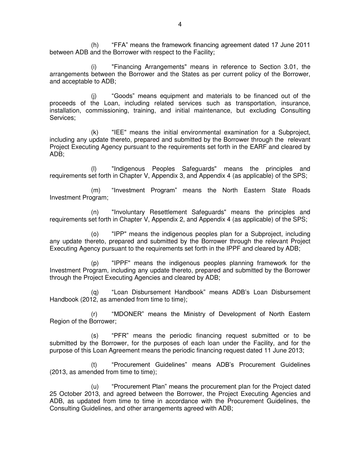(h) "FFA" means the framework financing agreement dated 17 June 2011 between ADB and the Borrower with respect to the Facility;

(i) "Financing Arrangements" means in reference to Section 3.01, the arrangements between the Borrower and the States as per current policy of the Borrower, and acceptable to ADB;

(j) "Goods" means equipment and materials to be financed out of the proceeds of the Loan, including related services such as transportation, insurance, installation, commissioning, training, and initial maintenance, but excluding Consulting Services;

(k) "IEE" means the initial environmental examination for a Subproject, including any update thereto, prepared and submitted by the Borrower through the relevant Project Executing Agency pursuant to the requirements set forth in the EARF and cleared by ADB;

(l) "Indigenous Peoples Safeguards" means the principles and requirements set forth in Chapter V, Appendix 3, and Appendix 4 (as applicable) of the SPS;

(m) "Investment Program" means the North Eastern State Roads Investment Program;

(n) "Involuntary Resettlement Safeguards" means the principles and requirements set forth in Chapter V, Appendix 2, and Appendix 4 (as applicable) of the SPS;

(o) "IPP" means the indigenous peoples plan for a Subproject, including any update thereto, prepared and submitted by the Borrower through the relevant Project Executing Agency pursuant to the requirements set forth in the IPPF and cleared by ADB;

(p) "IPPF" means the indigenous peoples planning framework for the Investment Program, including any update thereto, prepared and submitted by the Borrower through the Project Executing Agencies and cleared by ADB;

(q) "Loan Disbursement Handbook" means ADB's Loan Disbursement Handbook (2012, as amended from time to time);

(r) "MDONER" means the Ministry of Development of North Eastern Region of the Borrower;

(s) "PFR" means the periodic financing request submitted or to be submitted by the Borrower, for the purposes of each loan under the Facility, and for the purpose of this Loan Agreement means the periodic financing request dated 11 June 2013;

(t) "Procurement Guidelines" means ADB's Procurement Guidelines (2013, as amended from time to time);

(u) "Procurement Plan" means the procurement plan for the Project dated 25 October 2013, and agreed between the Borrower, the Project Executing Agencies and ADB, as updated from time to time in accordance with the Procurement Guidelines, the Consulting Guidelines, and other arrangements agreed with ADB;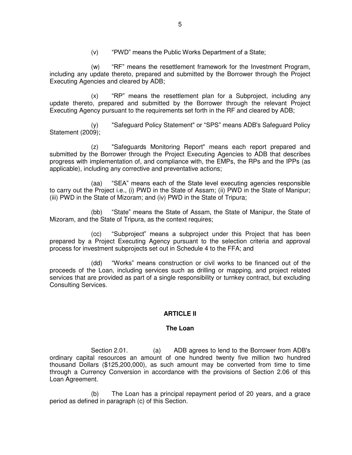(v) "PWD" means the Public Works Department of a State;

(w) "RF" means the resettlement framework for the Investment Program, including any update thereto, prepared and submitted by the Borrower through the Project Executing Agencies and cleared by ADB;

(x) "RP" means the resettlement plan for a Subproject, including any update thereto, prepared and submitted by the Borrower through the relevant Project Executing Agency pursuant to the requirements set forth in the RF and cleared by ADB;

(y) "Safeguard Policy Statement" or "SPS" means ADB's Safeguard Policy Statement (2009);

(z) "Safeguards Monitoring Report" means each report prepared and submitted by the Borrower through the Project Executing Agencies to ADB that describes progress with implementation of, and compliance with, the EMPs, the RPs and the IPPs (as applicable), including any corrective and preventative actions;

(aa) "SEA" means each of the State level executing agencies responsible to carry out the Project i.e., (i) PWD in the State of Assam; (ii) PWD in the State of Manipur; (iii) PWD in the State of Mizoram; and (iv) PWD in the State of Tripura;

(bb) "State" means the State of Assam, the State of Manipur, the State of Mizoram, and the State of Tripura, as the context requires;

(cc) "Subproject" means a subproject under this Project that has been prepared by a Project Executing Agency pursuant to the selection criteria and approval process for investment subprojects set out in Schedule 4 to the FFA; and

(dd) "Works" means construction or civil works to be financed out of the proceeds of the Loan, including services such as drilling or mapping, and project related services that are provided as part of a single responsibility or turnkey contract, but excluding Consulting Services.

### **ARTICLE II**

### **The Loan**

 Section 2.01. (a) ADB agrees to lend to the Borrower from ADB's ordinary capital resources an amount of one hundred twenty five million two hundred thousand Dollars (\$125,200,000), as such amount may be converted from time to time through a Currency Conversion in accordance with the provisions of Section 2.06 of this Loan Agreement.

(b) The Loan has a principal repayment period of 20 years, and a grace period as defined in paragraph (c) of this Section.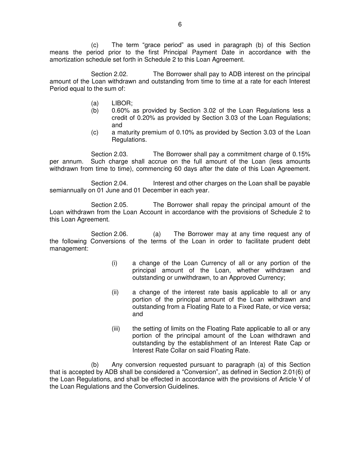(c) The term "grace period" as used in paragraph (b) of this Section means the period prior to the first Principal Payment Date in accordance with the amortization schedule set forth in Schedule 2 to this Loan Agreement.

Section 2.02. The Borrower shall pay to ADB interest on the principal amount of the Loan withdrawn and outstanding from time to time at a rate for each Interest Period equal to the sum of:

- (a) LIBOR;
- (b) 0.60% as provided by Section 3.02 of the Loan Regulations less a credit of 0.20% as provided by Section 3.03 of the Loan Regulations; and
- (c) a maturity premium of 0.10% as provided by Section 3.03 of the Loan Regulations.

 Section 2.03. The Borrower shall pay a commitment charge of 0.15% per annum. Such charge shall accrue on the full amount of the Loan (less amounts withdrawn from time to time), commencing 60 days after the date of this Loan Agreement.

Section 2.04. Interest and other charges on the Loan shall be payable semiannually on 01 June and 01 December in each year.

 Section 2.05. The Borrower shall repay the principal amount of the Loan withdrawn from the Loan Account in accordance with the provisions of Schedule 2 to this Loan Agreement.

Section 2.06. (a) The Borrower may at any time request any of the following Conversions of the terms of the Loan in order to facilitate prudent debt management:

- (i) a change of the Loan Currency of all or any portion of the principal amount of the Loan, whether withdrawn and outstanding or unwithdrawn, to an Approved Currency;
- (ii) a change of the interest rate basis applicable to all or any portion of the principal amount of the Loan withdrawn and outstanding from a Floating Rate to a Fixed Rate, or vice versa; and
- (iii) the setting of limits on the Floating Rate applicable to all or any portion of the principal amount of the Loan withdrawn and outstanding by the establishment of an Interest Rate Cap or Interest Rate Collar on said Floating Rate.

(b) Any conversion requested pursuant to paragraph (a) of this Section that is accepted by ADB shall be considered a "Conversion", as defined in Section 2.01(6) of the Loan Regulations, and shall be effected in accordance with the provisions of Article V of the Loan Regulations and the Conversion Guidelines.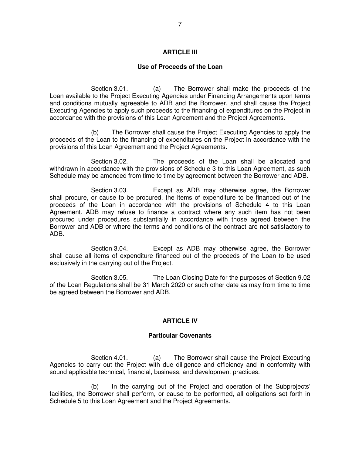### **ARTICLE III**

## **Use of Proceeds of the Loan**

 Section 3.01. (a) The Borrower shall make the proceeds of the Loan available to the Project Executing Agencies under Financing Arrangements upon terms and conditions mutually agreeable to ADB and the Borrower, and shall cause the Project Executing Agencies to apply such proceeds to the financing of expenditures on the Project in accordance with the provisions of this Loan Agreement and the Project Agreements.

(b) The Borrower shall cause the Project Executing Agencies to apply the proceeds of the Loan to the financing of expenditures on the Project in accordance with the provisions of this Loan Agreement and the Project Agreements.

 Section 3.02. The proceeds of the Loan shall be allocated and withdrawn in accordance with the provisions of Schedule 3 to this Loan Agreement, as such Schedule may be amended from time to time by agreement between the Borrower and ADB.

 Section 3.03. Except as ADB may otherwise agree, the Borrower shall procure, or cause to be procured, the items of expenditure to be financed out of the proceeds of the Loan in accordance with the provisions of Schedule 4 to this Loan Agreement. ADB may refuse to finance a contract where any such item has not been procured under procedures substantially in accordance with those agreed between the Borrower and ADB or where the terms and conditions of the contract are not satisfactory to ADB.

 Section 3.04. Except as ADB may otherwise agree, the Borrower shall cause all items of expenditure financed out of the proceeds of the Loan to be used exclusively in the carrying out of the Project.

 Section 3.05. The Loan Closing Date for the purposes of Section 9.02 of the Loan Regulations shall be 31 March 2020 or such other date as may from time to time be agreed between the Borrower and ADB.

## **ARTICLE IV**

### **Particular Covenants**

Section 4.01. (a) The Borrower shall cause the Project Executing Agencies to carry out the Project with due diligence and efficiency and in conformity with sound applicable technical, financial, business, and development practices.

(b) In the carrying out of the Project and operation of the Subprojects' facilities, the Borrower shall perform, or cause to be performed, all obligations set forth in Schedule 5 to this Loan Agreement and the Project Agreements.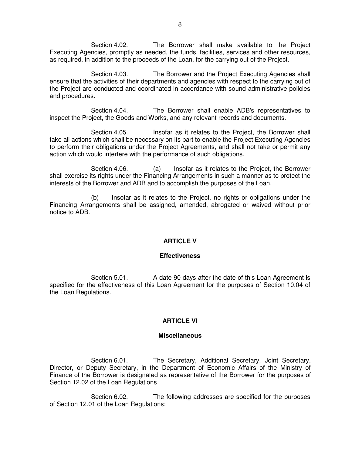Section 4.02. The Borrower shall make available to the Project Executing Agencies, promptly as needed, the funds, facilities, services and other resources, as required, in addition to the proceeds of the Loan, for the carrying out of the Project.

 Section 4.03. The Borrower and the Project Executing Agencies shall ensure that the activities of their departments and agencies with respect to the carrying out of the Project are conducted and coordinated in accordance with sound administrative policies and procedures.

 Section 4.04. The Borrower shall enable ADB's representatives to inspect the Project, the Goods and Works, and any relevant records and documents.

Section 4.05. Insofar as it relates to the Project, the Borrower shall take all actions which shall be necessary on its part to enable the Project Executing Agencies to perform their obligations under the Project Agreements, and shall not take or permit any action which would interfere with the performance of such obligations.

Section 4.06. (a) Insofar as it relates to the Project, the Borrower shall exercise its rights under the Financing Arrangements in such a manner as to protect the interests of the Borrower and ADB and to accomplish the purposes of the Loan.

(b) Insofar as it relates to the Project, no rights or obligations under the Financing Arrangements shall be assigned, amended, abrogated or waived without prior notice to ADB.

### **ARTICLE V**

#### **Effectiveness**

Section 5.01. A date 90 days after the date of this Loan Agreement is specified for the effectiveness of this Loan Agreement for the purposes of Section 10.04 of the Loan Regulations.

### **ARTICLE VI**

#### **Miscellaneous**

Section 6.01. The Secretary, Additional Secretary, Joint Secretary, Director, or Deputy Secretary, in the Department of Economic Affairs of the Ministry of Finance of the Borrower is designated as representative of the Borrower for the purposes of Section 12.02 of the Loan Regulations.

 Section 6.02. The following addresses are specified for the purposes of Section 12.01 of the Loan Regulations: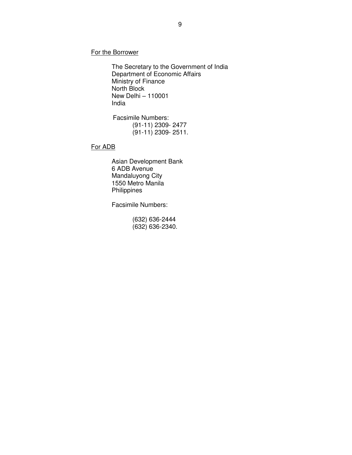For the Borrower

 The Secretary to the Government of India Department of Economic Affairs Ministry of Finance North Block New Delhi – 110001 India

Facsimile Numbers: (91-11) 2309- 2477 (91-11) 2309- 2511.

For ADB

 Asian Development Bank 6 ADB Avenue Mandaluyong City 1550 Metro Manila **Philippines** 

Facsimile Numbers:

 (632) 636-2444 (632) 636-2340.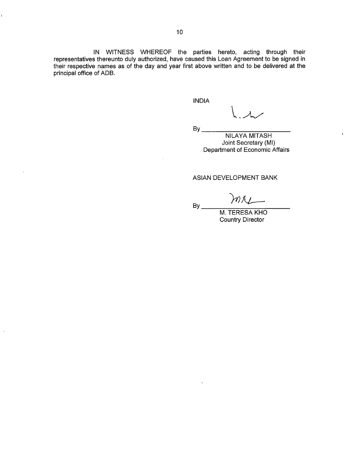IN WITNESS WHEREOF the parties hereto, acting through their representatives thereunto duly authorized, have caused this Loan Agreement to be signed in their respective names as of the day and year first above written and to be delivered at the principal office of ADB.

**INDIA** 

 $\lambda$ 

 $By$ <sub>--</sub>

**NILAYA MITASH** Joint Secretary (MI) Department of Economic Affairs

#### ASIAN DEVELOPMENT BANK

 $By$ <sub>-</sub>

M. TERESA KHO **Country Director** 

 $\mathbf{I}$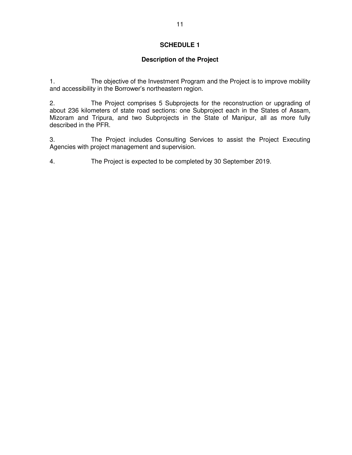## **Description of the Project**

1. The objective of the Investment Program and the Project is to improve mobility and accessibility in the Borrower's northeastern region.

2. The Project comprises 5 Subprojects for the reconstruction or upgrading of about 236 kilometers of state road sections: one Subproject each in the States of Assam, Mizoram and Tripura, and two Subprojects in the State of Manipur, all as more fully described in the PFR.

3. The Project includes Consulting Services to assist the Project Executing Agencies with project management and supervision.

4. The Project is expected to be completed by 30 September 2019.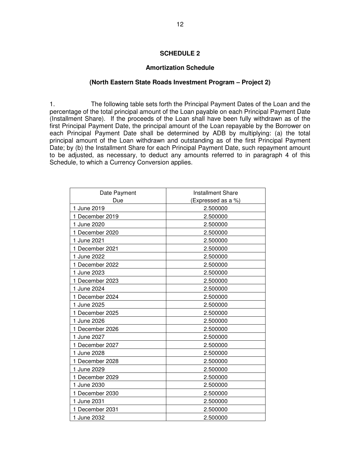### **Amortization Schedule**

#### **(North Eastern State Roads Investment Program – Project 2)**

1. The following table sets forth the Principal Payment Dates of the Loan and the percentage of the total principal amount of the Loan payable on each Principal Payment Date (Installment Share). If the proceeds of the Loan shall have been fully withdrawn as of the first Principal Payment Date, the principal amount of the Loan repayable by the Borrower on each Principal Payment Date shall be determined by ADB by multiplying: (a) the total principal amount of the Loan withdrawn and outstanding as of the first Principal Payment Date; by (b) the Installment Share for each Principal Payment Date, such repayment amount to be adjusted, as necessary, to deduct any amounts referred to in paragraph 4 of this Schedule, to which a Currency Conversion applies.

| Date Payment    | <b>Installment Share</b> |  |  |
|-----------------|--------------------------|--|--|
| Due             | (Expressed as a %)       |  |  |
| 1 June 2019     | 2.500000                 |  |  |
| 1 December 2019 | 2.500000                 |  |  |
| 1 June 2020     | 2.500000                 |  |  |
| 1 December 2020 | 2.500000                 |  |  |
| 1 June 2021     | 2.500000                 |  |  |
| 1 December 2021 | 2.500000                 |  |  |
| 1 June 2022     | 2.500000                 |  |  |
| 1 December 2022 | 2.500000                 |  |  |
| 1 June 2023     | 2.500000                 |  |  |
| 1 December 2023 | 2.500000                 |  |  |
| 1 June 2024     | 2.500000                 |  |  |
| 1 December 2024 | 2.500000                 |  |  |
| 1 June 2025     | 2.500000                 |  |  |
| 1 December 2025 | 2.500000                 |  |  |
| 1 June 2026     | 2.500000                 |  |  |
| 1 December 2026 | 2.500000                 |  |  |
| 1 June 2027     | 2.500000                 |  |  |
| 1 December 2027 | 2.500000                 |  |  |
| 1 June 2028     | 2.500000                 |  |  |
| 1 December 2028 | 2.500000                 |  |  |
| 1 June 2029     | 2.500000                 |  |  |
| 1 December 2029 | 2.500000                 |  |  |
| 1 June 2030     | 2.500000                 |  |  |
| 1 December 2030 | 2.500000                 |  |  |
| 1 June 2031     | 2.500000                 |  |  |
| 1 December 2031 | 2.500000                 |  |  |
| 1 June 2032     | 2.500000                 |  |  |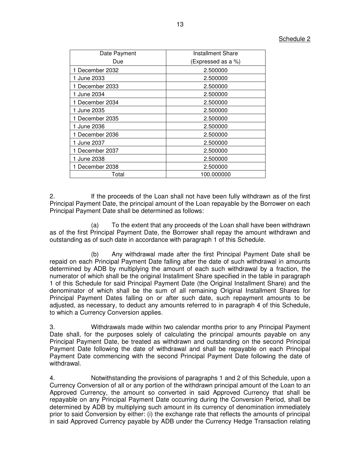| Date Payment    | Installment Share  |  |  |
|-----------------|--------------------|--|--|
| Due             | (Expressed as a %) |  |  |
| 1 December 2032 | 2.500000           |  |  |
| 1 June 2033     | 2.500000           |  |  |
| 1 December 2033 | 2.500000           |  |  |
| 1 June 2034     | 2.500000           |  |  |
| 1 December 2034 | 2.500000           |  |  |
| 1 June 2035     | 2.500000           |  |  |
| 1 December 2035 | 2.500000           |  |  |
| 1 June 2036     | 2.500000           |  |  |
| 1 December 2036 | 2.500000           |  |  |
| 1 June 2037     | 2.500000           |  |  |
| 1 December 2037 | 2.500000           |  |  |
| 1 June 2038     | 2.500000           |  |  |
| 1 December 2038 | 2.500000           |  |  |
| Total           | 100.000000         |  |  |

2. If the proceeds of the Loan shall not have been fully withdrawn as of the first Principal Payment Date, the principal amount of the Loan repayable by the Borrower on each Principal Payment Date shall be determined as follows:

(a) To the extent that any proceeds of the Loan shall have been withdrawn as of the first Principal Payment Date, the Borrower shall repay the amount withdrawn and outstanding as of such date in accordance with paragraph 1 of this Schedule.

(b) Any withdrawal made after the first Principal Payment Date shall be repaid on each Principal Payment Date falling after the date of such withdrawal in amounts determined by ADB by multiplying the amount of each such withdrawal by a fraction, the numerator of which shall be the original Installment Share specified in the table in paragraph 1 of this Schedule for said Principal Payment Date (the Original Installment Share) and the denominator of which shall be the sum of all remaining Original Installment Shares for Principal Payment Dates falling on or after such date, such repayment amounts to be adjusted, as necessary, to deduct any amounts referred to in paragraph 4 of this Schedule, to which a Currency Conversion applies.

3. Withdrawals made within two calendar months prior to any Principal Payment Date shall, for the purposes solely of calculating the principal amounts payable on any Principal Payment Date, be treated as withdrawn and outstanding on the second Principal Payment Date following the date of withdrawal and shall be repayable on each Principal Payment Date commencing with the second Principal Payment Date following the date of withdrawal.

4. Notwithstanding the provisions of paragraphs 1 and 2 of this Schedule, upon a Currency Conversion of all or any portion of the withdrawn principal amount of the Loan to an Approved Currency, the amount so converted in said Approved Currency that shall be repayable on any Principal Payment Date occurring during the Conversion Period, shall be determined by ADB by multiplying such amount in its currency of denomination immediately prior to said Conversion by either: (i) the exchange rate that reflects the amounts of principal in said Approved Currency payable by ADB under the Currency Hedge Transaction relating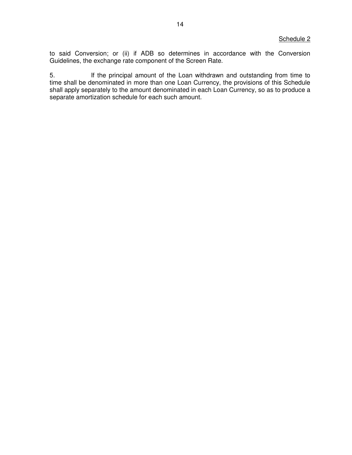to said Conversion; or (ii) if ADB so determines in accordance with the Conversion Guidelines, the exchange rate component of the Screen Rate.

5. If the principal amount of the Loan withdrawn and outstanding from time to time shall be denominated in more than one Loan Currency, the provisions of this Schedule shall apply separately to the amount denominated in each Loan Currency, so as to produce a separate amortization schedule for each such amount.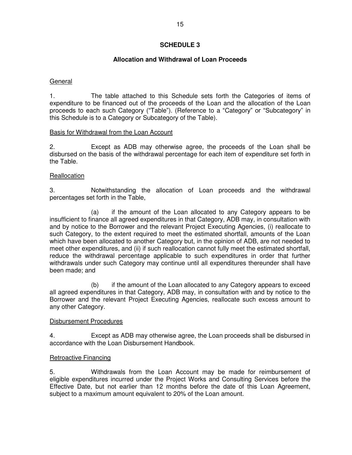## **Allocation and Withdrawal of Loan Proceeds**

### General

1. The table attached to this Schedule sets forth the Categories of items of expenditure to be financed out of the proceeds of the Loan and the allocation of the Loan proceeds to each such Category ("Table"). (Reference to a "Category" or "Subcategory" in this Schedule is to a Category or Subcategory of the Table).

### Basis for Withdrawal from the Loan Account

2. Except as ADB may otherwise agree, the proceeds of the Loan shall be disbursed on the basis of the withdrawal percentage for each item of expenditure set forth in the Table.

## **Reallocation**

3. Notwithstanding the allocation of Loan proceeds and the withdrawal percentages set forth in the Table,

 (a) if the amount of the Loan allocated to any Category appears to be insufficient to finance all agreed expenditures in that Category, ADB may, in consultation with and by notice to the Borrower and the relevant Project Executing Agencies, (i) reallocate to such Category, to the extent required to meet the estimated shortfall, amounts of the Loan which have been allocated to another Category but, in the opinion of ADB, are not needed to meet other expenditures, and (ii) if such reallocation cannot fully meet the estimated shortfall, reduce the withdrawal percentage applicable to such expenditures in order that further withdrawals under such Category may continue until all expenditures thereunder shall have been made; and

 (b) if the amount of the Loan allocated to any Category appears to exceed all agreed expenditures in that Category, ADB may, in consultation with and by notice to the Borrower and the relevant Project Executing Agencies, reallocate such excess amount to any other Category.

## Disbursement Procedures

4. Except as ADB may otherwise agree, the Loan proceeds shall be disbursed in accordance with the Loan Disbursement Handbook.

### Retroactive Financing

5. Withdrawals from the Loan Account may be made for reimbursement of eligible expenditures incurred under the Project Works and Consulting Services before the Effective Date, but not earlier than 12 months before the date of this Loan Agreement, subject to a maximum amount equivalent to 20% of the Loan amount.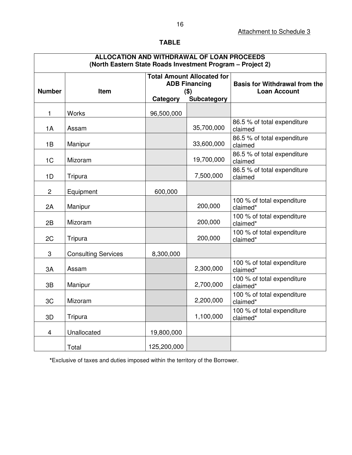## **TABLE**

## **ALLOCATION AND WITHDRAWAL OF LOAN PROCEEDS (North Eastern State Roads Investment Program – Project 2)**

| <b>Number</b>           | Item                       | <b>Total Amount Allocated for</b><br><b>ADB Financing</b><br>$($ \$) |             | <b>Basis for Withdrawal from the</b><br><b>Loan Account</b> |  |  |
|-------------------------|----------------------------|----------------------------------------------------------------------|-------------|-------------------------------------------------------------|--|--|
|                         |                            | Category                                                             | Subcategory |                                                             |  |  |
| 1                       | <b>Works</b>               | 96,500,000                                                           |             |                                                             |  |  |
| 1A                      | Assam                      |                                                                      | 35,700,000  | 86.5 % of total expenditure<br>claimed                      |  |  |
| 1B                      | Manipur                    |                                                                      | 33,600,000  | 86.5 % of total expenditure<br>claimed                      |  |  |
| 1 <sub>C</sub>          | Mizoram                    |                                                                      | 19,700,000  | 86.5 % of total expenditure<br>claimed                      |  |  |
| 1D                      | Tripura                    |                                                                      | 7,500,000   | 86.5 % of total expenditure<br>claimed                      |  |  |
| $\overline{2}$          | Equipment                  | 600,000                                                              |             |                                                             |  |  |
| 2A                      | Manipur                    |                                                                      | 200,000     | 100 % of total expenditure<br>claimed*                      |  |  |
| 2B                      | Mizoram                    |                                                                      | 200,000     | 100 % of total expenditure<br>claimed*                      |  |  |
| 2C                      | Tripura                    |                                                                      | 200,000     | 100 % of total expenditure<br>claimed*                      |  |  |
| 3                       | <b>Consulting Services</b> | 8,300,000                                                            |             |                                                             |  |  |
| 3A                      | Assam                      |                                                                      | 2,300,000   | 100 % of total expenditure<br>claimed*                      |  |  |
| 3B                      | Manipur                    |                                                                      | 2,700,000   | 100 % of total expenditure<br>claimed*                      |  |  |
| 3C                      | Mizoram                    |                                                                      | 2,200,000   | 100 % of total expenditure<br>claimed*                      |  |  |
| 3D                      | Tripura                    |                                                                      | 1,100,000   | 100 % of total expenditure<br>claimed*                      |  |  |
| $\overline{\mathbf{4}}$ | Unallocated                | 19,800,000                                                           |             |                                                             |  |  |
|                         | Total                      | 125,200,000                                                          |             |                                                             |  |  |

**\***Exclusive of taxes and duties imposed within the territory of the Borrower.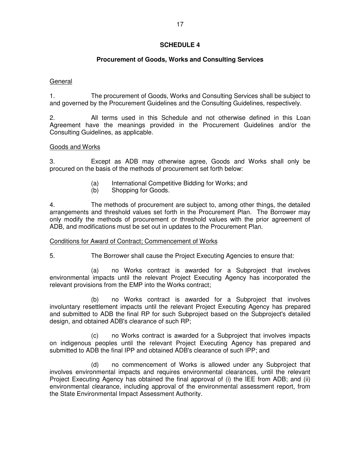# **Procurement of Goods, Works and Consulting Services**

## General

1. The procurement of Goods, Works and Consulting Services shall be subject to and governed by the Procurement Guidelines and the Consulting Guidelines, respectively.

2. All terms used in this Schedule and not otherwise defined in this Loan Agreement have the meanings provided in the Procurement Guidelines and/or the Consulting Guidelines, as applicable.

## Goods and Works

3. Except as ADB may otherwise agree, Goods and Works shall only be procured on the basis of the methods of procurement set forth below:

- (a) International Competitive Bidding for Works; and
- (b) Shopping for Goods.

4. The methods of procurement are subject to, among other things, the detailed arrangements and threshold values set forth in the Procurement Plan. The Borrower may only modify the methods of procurement or threshold values with the prior agreement of ADB, and modifications must be set out in updates to the Procurement Plan.

### Conditions for Award of Contract; Commencement of Works

- 
- 5. The Borrower shall cause the Project Executing Agencies to ensure that:

(a) no Works contract is awarded for a Subproject that involves environmental impacts until the relevant Project Executing Agency has incorporated the relevant provisions from the EMP into the Works contract;

(b) no Works contract is awarded for a Subproject that involves involuntary resettlement impacts until the relevant Project Executing Agency has prepared and submitted to ADB the final RP for such Subproject based on the Subproject's detailed design, and obtained ADB's clearance of such RP;

(c) no Works contract is awarded for a Subproject that involves impacts on indigenous peoples until the relevant Project Executing Agency has prepared and submitted to ADB the final IPP and obtained ADB's clearance of such IPP; and

(d) no commencement of Works is allowed under any Subproject that involves environmental impacts and requires environmental clearances, until the relevant Project Executing Agency has obtained the final approval of (i) the IEE from ADB; and (ii) environmental clearance, including approval of the environmental assessment report, from the State Environmental Impact Assessment Authority.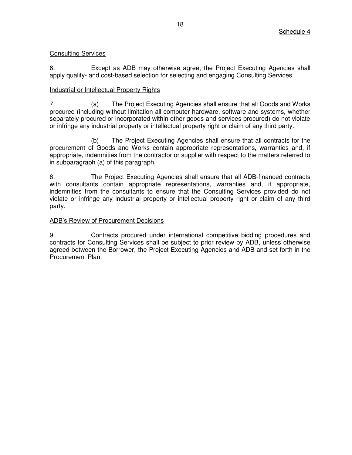## Consulting Services

6. Except as ADB may otherwise agree, the Project Executing Agencies shall apply quality- and cost-based selection for selecting and engaging Consulting Services.

## Industrial or Intellectual Property Rights

7. (a) The Project Executing Agencies shall ensure that all Goods and Works procured (including without limitation all computer hardware, software and systems, whether separately procured or incorporated within other goods and services procured) do not violate or infringe any industrial property or intellectual property right or claim of any third party.

 (b) The Project Executing Agencies shall ensure that all contracts for the procurement of Goods and Works contain appropriate representations, warranties and, if appropriate, indemnities from the contractor or supplier with respect to the matters referred to in subparagraph (a) of this paragraph.

8. The Project Executing Agencies shall ensure that all ADB-financed contracts with consultants contain appropriate representations, warranties and, if appropriate, indemnities from the consultants to ensure that the Consulting Services provided do not violate or infringe any industrial property or intellectual property right or claim of any third party.

### ADB's Review of Procurement Decisions

9. Contracts procured under international competitive bidding procedures and contracts for Consulting Services shall be subject to prior review by ADB, unless otherwise agreed between the Borrower, the Project Executing Agencies and ADB and set forth in the Procurement Plan.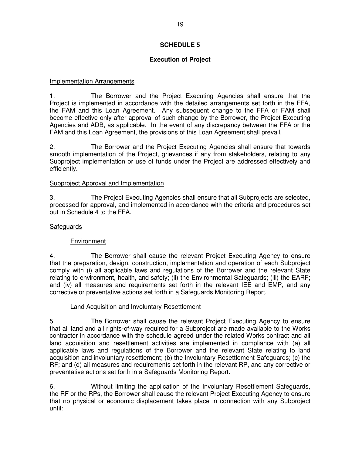## **Execution of Project**

## Implementation Arrangements

1. The Borrower and the Project Executing Agencies shall ensure that the Project is implemented in accordance with the detailed arrangements set forth in the FFA, the FAM and this Loan Agreement. Any subsequent change to the FFA or FAM shall become effective only after approval of such change by the Borrower, the Project Executing Agencies and ADB, as applicable. In the event of any discrepancy between the FFA or the FAM and this Loan Agreement, the provisions of this Loan Agreement shall prevail.

2. The Borrower and the Project Executing Agencies shall ensure that towards smooth implementation of the Project, grievances if any from stakeholders, relating to any Subproject implementation or use of funds under the Project are addressed effectively and efficiently.

## Subproject Approval and Implementation

3. The Project Executing Agencies shall ensure that all Subprojects are selected, processed for approval, and implemented in accordance with the criteria and procedures set out in Schedule 4 to the FFA.

## **Safeguards**

## Environment

4. The Borrower shall cause the relevant Project Executing Agency to ensure that the preparation, design, construction, implementation and operation of each Subproject comply with (i) all applicable laws and regulations of the Borrower and the relevant State relating to environment, health, and safety; (ii) the Environmental Safeguards; (iii) the EARF; and (iv) all measures and requirements set forth in the relevant IEE and EMP, and any corrective or preventative actions set forth in a Safeguards Monitoring Report.

### Land Acquisition and Involuntary Resettlement

5. The Borrower shall cause the relevant Project Executing Agency to ensure that all land and all rights-of-way required for a Subproject are made available to the Works contractor in accordance with the schedule agreed under the related Works contract and all land acquisition and resettlement activities are implemented in compliance with (a) all applicable laws and regulations of the Borrower and the relevant State relating to land acquisition and involuntary resettlement; (b) the Involuntary Resettlement Safeguards; (c) the RF; and (d) all measures and requirements set forth in the relevant RP, and any corrective or preventative actions set forth in a Safeguards Monitoring Report.

6. Without limiting the application of the Involuntary Resettlement Safeguards*,* the RF or the RPs, the Borrower shall cause the relevant Project Executing Agency to ensure that no physical or economic displacement takes place in connection with any Subproject until: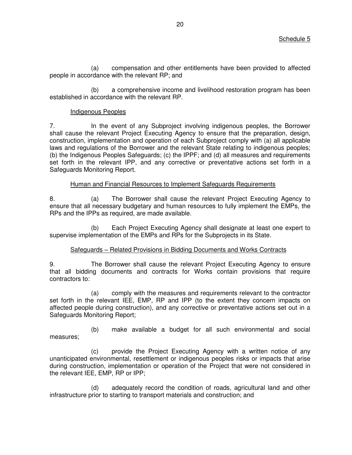(a) compensation and other entitlements have been provided to affected people in accordance with the relevant RP; and

(b) a comprehensive income and livelihood restoration program has been established in accordance with the relevant RP.

### Indigenous Peoples

7. In the event of any Subproject involving indigenous peoples, the Borrower shall cause the relevant Project Executing Agency to ensure that the preparation, design, construction, implementation and operation of each Subproject comply with (a) all applicable laws and regulations of the Borrower and the relevant State relating to indigenous peoples; (b) the Indigenous Peoples Safeguards; (c) the IPPF; and (d) all measures and requirements set forth in the relevant IPP, and any corrective or preventative actions set forth in a Safeguards Monitoring Report.

### Human and Financial Resources to Implement Safeguards Requirements

8. (a) The Borrower shall cause the relevant Project Executing Agency to ensure that all necessary budgetary and human resources to fully implement the EMPs, the RPs and the IPPs as required, are made available.

 (b) Each Project Executing Agency shall designate at least one expert to supervise implementation of the EMPs and RPs for the Subprojects in its State.

### Safeguards – Related Provisions in Bidding Documents and Works Contracts

9. The Borrower shall cause the relevant Project Executing Agency to ensure that all bidding documents and contracts for Works contain provisions that require contractors to:

(a) comply with the measures and requirements relevant to the contractor set forth in the relevant IEE, EMP, RP and IPP (to the extent they concern impacts on affected people during construction), and any corrective or preventative actions set out in a Safeguards Monitoring Report;

(b) make available a budget for all such environmental and social measures;

(c) provide the Project Executing Agency with a written notice of any unanticipated environmental, resettlement or indigenous peoples risks or impacts that arise during construction, implementation or operation of the Project that were not considered in the relevant IEE, EMP, RP or IPP;

(d) adequately record the condition of roads, agricultural land and other infrastructure prior to starting to transport materials and construction; and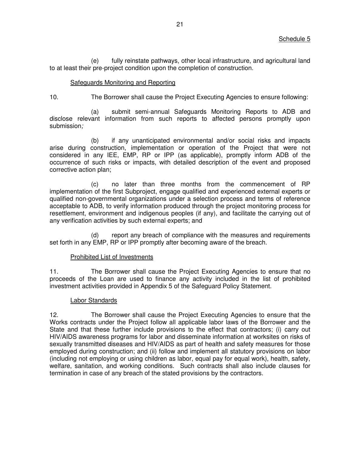(e) fully reinstate pathways, other local infrastructure, and agricultural land to at least their pre-project condition upon the completion of construction.

## Safeguards Monitoring and Reporting

10. The Borrower shall cause the Project Executing Agencies to ensure following:

(a) submit semi-annual Safeguards Monitoring Reports to ADB and disclose relevant information from such reports to affected persons promptly upon submission*;* 

(b) if any unanticipated environmental and/or social risks and impacts arise during construction, implementation or operation of the Project that were not considered in any IEE, EMP, RP or IPP (as applicable), promptly inform ADB of the occurrence of such risks or impacts, with detailed description of the event and proposed corrective action plan;

(c) no later than three months from the commencement of RP implementation of the first Subproject, engage qualified and experienced external experts or qualified non-governmental organizations under a selection process and terms of reference acceptable to ADB, to verify information produced through the project monitoring process for resettlement, environment and indigenous peoples (if any), and facilitate the carrying out of any verification activities by such external experts; and

(d) report any breach of compliance with the measures and requirements set forth in any EMP, RP or IPP promptly after becoming aware of the breach.

### Prohibited List of Investments

11. The Borrower shall cause the Project Executing Agencies to ensure that no proceeds of the Loan are used to finance any activity included in the list of prohibited investment activities provided in Appendix 5 of the Safeguard Policy Statement.

## Labor Standards

12. The Borrower shall cause the Project Executing Agencies to ensure that the Works contracts under the Project follow all applicable labor laws of the Borrower and the State and that these further include provisions to the effect that contractors; (i) carry out HIV/AIDS awareness programs for labor and disseminate information at worksites on risks of sexually transmitted diseases and HIV/AIDS as part of health and safety measures for those employed during construction; and (ii) follow and implement all statutory provisions on labor (including not employing or using children as labor, equal pay for equal work), health, safety, welfare, sanitation, and working conditions. Such contracts shall also include clauses for termination in case of any breach of the stated provisions by the contractors.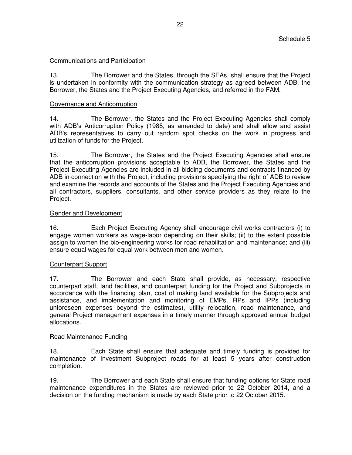### Communications and Participation

13. The Borrower and the States, through the SEAs, shall ensure that the Project is undertaken in conformity with the communication strategy as agreed between ADB, the Borrower, the States and the Project Executing Agencies, and referred in the FAM.

### Governance and Anticorruption

14. The Borrower, the States and the Project Executing Agencies shall comply with ADB's Anticorruption Policy (1988, as amended to date) and shall allow and assist ADB's representatives to carry out random spot checks on the work in progress and utilization of funds for the Project.

15. The Borrower, the States and the Project Executing Agencies shall ensure that the anticorruption provisions acceptable to ADB, the Borrower, the States and the Project Executing Agencies are included in all bidding documents and contracts financed by ADB in connection with the Project, including provisions specifying the right of ADB to review and examine the records and accounts of the States and the Project Executing Agencies and all contractors, suppliers, consultants, and other service providers as they relate to the Project.

## Gender and Development

16. Each Project Executing Agency shall encourage civil works contractors (i) to engage women workers as wage-labor depending on their skills; (ii) to the extent possible assign to women the bio-engineering works for road rehabilitation and maintenance; and (iii) ensure equal wages for equal work between men and women.

### Counterpart Support

17. The Borrower and each State shall provide, as necessary, respective counterpart staff, land facilities, and counterpart funding for the Project and Subprojects in accordance with the financing plan, cost of making land available for the Subprojects and assistance, and implementation and monitoring of EMPs, RPs and IPPs (including unforeseen expenses beyond the estimates), utility relocation, road maintenance, and general Project management expenses in a timely manner through approved annual budget allocations.

### Road Maintenance Funding

18. Each State shall ensure that adequate and timely funding is provided for maintenance of Investment Subproject roads for at least 5 years after construction completion.

19. The Borrower and each State shall ensure that funding options for State road maintenance expenditures in the States are reviewed prior to 22 October 2014, and a decision on the funding mechanism is made by each State prior to 22 October 2015.